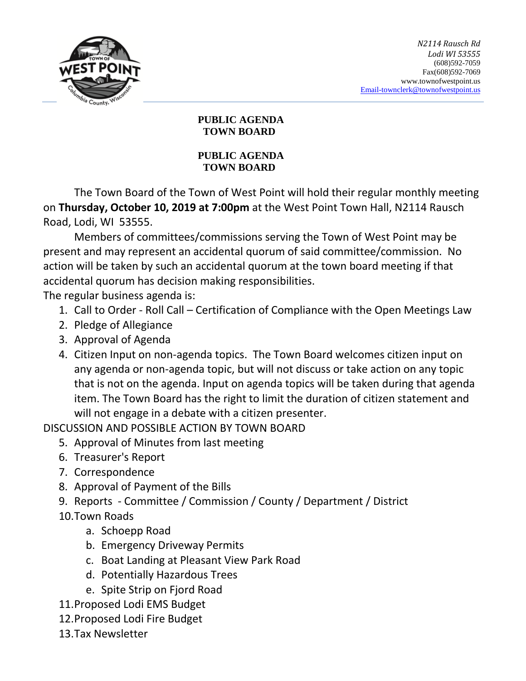

## **PUBLIC AGENDA TOWN BOARD**

## **PUBLIC AGENDA TOWN BOARD**

The Town Board of the Town of West Point will hold their regular monthly meeting on **Thursday, October 10, 2019 at 7:00pm** at the West Point Town Hall, N2114 Rausch Road, Lodi, WI 53555.

Members of committees/commissions serving the Town of West Point may be present and may represent an accidental quorum of said committee/commission. No action will be taken by such an accidental quorum at the town board meeting if that accidental quorum has decision making responsibilities.

The regular business agenda is:

- 1. Call to Order Roll Call Certification of Compliance with the Open Meetings Law
- 2. Pledge of Allegiance
- 3. Approval of Agenda
- 4. Citizen Input on non-agenda topics. The Town Board welcomes citizen input on any agenda or non-agenda topic, but will not discuss or take action on any topic that is not on the agenda. Input on agenda topics will be taken during that agenda item. The Town Board has the right to limit the duration of citizen statement and will not engage in a debate with a citizen presenter.

DISCUSSION AND POSSIBLE ACTION BY TOWN BOARD

- 5. Approval of Minutes from last meeting
- 6. Treasurer's Report
- 7. Correspondence
- 8. Approval of Payment of the Bills
- 9. Reports Committee / Commission / County / Department / District
- 10.Town Roads
	- a. Schoepp Road
	- b. Emergency Driveway Permits
	- c. Boat Landing at Pleasant View Park Road
	- d. Potentially Hazardous Trees
	- e. Spite Strip on Fjord Road
- 11.Proposed Lodi EMS Budget
- 12.Proposed Lodi Fire Budget
- 13.Tax Newsletter